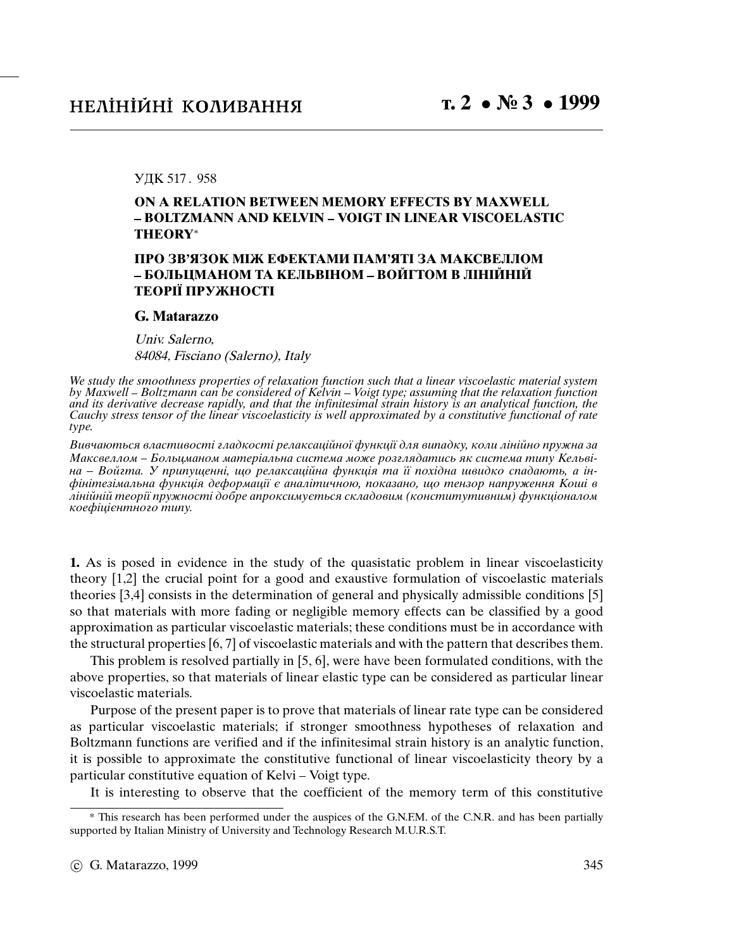## УДК 517 . 958

## **ON A RELATION BETWEEN MEMORY EFFECTS BY MAXWELL BOLTZMANN AND KELVIN VOIGT IN LINEAR VISCOELASTIC THEORY**<sup>∗</sup>

## **ПРО ЗВ'ЯЗОК МIЖ ЕФЕКТАМИ ПАМ'ЯТI ЗА МАКСВЕЛЛОМ БОЛЬЦМАНОМ ТА КЕЛЬВIНОМ ВОЙГТОМ В ЛIНIЙНIЙ ТЕОРIЇ ПРУЖНОСТI**

## **G. Matarazzo**

Univ. Salerno, 84084, Fisciano (Salerno), Italy

We study the smoothness properties of relaxation function such that a linear viscoelastic material system by Maxwell - Boltzmann can be considered of Kelvin - Voigt type; assuming that the relaxation function and its derivative decrease rapidly, and that the infinitesimal strain history is an analytical function, the Cauchy stress tensor of the linear viscoelasticity is well approximated by a constitutive functional of rate type.

Вивчаються властивостi гладкостi релаксацiйної функцiї для випадку, коли лiнiйно пружна за Максвеллом – Больцманом матеріальна система може розглядатись як система типу Кельвіна – Войгта. У припущенні, що релаксаційна функція та її похідна швидко спадають, а інфiнiтезiмальна функцiя деформацiї є аналiтичною, показано, що тензор напруження Кошi в лiнiйнiй теорiї пружностi добре апроксимується складовим (конститутивним) функцiоналом коефiцiєнтного типу.

**1.** As is posed in evidence in the study of the quasistatic problem in linear viscoelasticity theory [1,2] the crucial point for a good and exaustive formulation of viscoelastic materials theories [3,4] consists in the determination of general and physically admissible conditions [5] so that materials with more fading or negligible memory effects can be classified by a good approximation as particular viscoelastic materials; these conditions must be in accordance with the structural properties [6, 7] of viscoelastic materials and with the pattern that describes them.

This problem is resolved partially in [5, 6], were have been formulated conditions, with the above properties, so that materials of linear elastic type can be considered as particular linear viscoelastic materials.

Purpose of the present paper is to prove that materials of linear rate type can be considered as particular viscoelastic materials; if stronger smoothness hypotheses of relaxation and Boltzmann functions are verified and if the infinitesimal strain history is an analytic function, it is possible to approximate the constitutive functional of linear viscoelasticity theory by a particular constitutive equation of Kelvi – Voigt type.

It is interesting to observe that the coefficient of the memory term of this constitutive

<sup>\*</sup> This research has been performed under the auspices of the G.N.F.M. of the C.N.R. and has been partially supported by Italian Ministry of University and Technology Research M.U.R.S.T.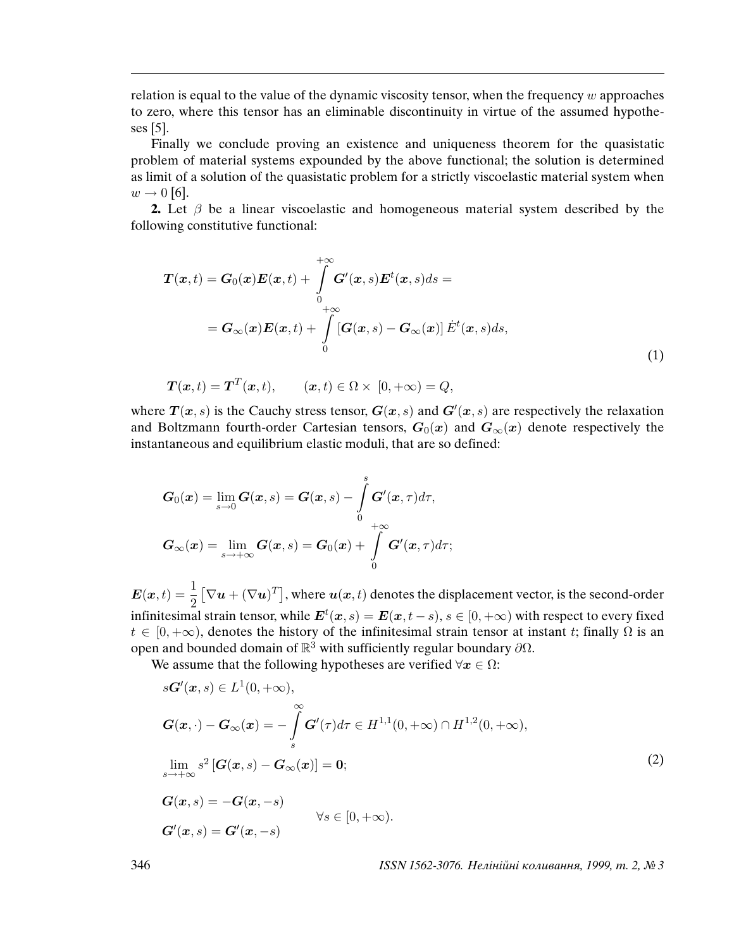relation is equal to the value of the dynamic viscosity tensor, when the frequency  $w$  approaches to zero, where this tensor has an eliminable discontinuity in virtue of the assumed hypotheses [5].

Finally we conclude proving an existence and uniqueness theorem for the quasistatic problem of material systems expounded by the above functional; the solution is determined as limit of a solution of the quasistatic problem for a strictly viscoelastic material system when  $w \rightarrow 0$  [6].

**2.** Let  $\beta$  be a linear viscoelastic and homogeneous material system described by the following constitutive functional:

$$
\boldsymbol{T}(\boldsymbol{x},t) = \boldsymbol{G}_0(\boldsymbol{x})\boldsymbol{E}(\boldsymbol{x},t) + \int_{0}^{+\infty} \boldsymbol{G}'(\boldsymbol{x},s)\boldsymbol{E}^t(\boldsymbol{x},s)ds =
$$
\n
$$
= \boldsymbol{G}_{\infty}(\boldsymbol{x})\boldsymbol{E}(\boldsymbol{x},t) + \int_{0}^{+\infty} [\boldsymbol{G}(\boldsymbol{x},s) - \boldsymbol{G}_{\infty}(\boldsymbol{x})] \dot{\boldsymbol{E}}^t(\boldsymbol{x},s)ds,
$$
\n(1)

$$
\boldsymbol{T}(\boldsymbol{x},t) = \boldsymbol{T}^T(\boldsymbol{x},t), \qquad (\boldsymbol{x},t) \in \Omega \times [0,+\infty) = Q,
$$

where  $T(x, s)$  is the Cauchy stress tensor,  $G(x, s)$  and  $G'(x, s)$  are respectively the relaxation and Boltzmann fourth-order Cartesian tensors,  $G_0(x)$  and  $G_{\infty}(x)$  denote respectively the instantaneous and equilibrium elastic moduli, that are so defined:

$$
G_0(\boldsymbol{x}) = \lim_{s \to 0} G(\boldsymbol{x}, s) = G(\boldsymbol{x}, s) - \int_{0}^{s} G'(\boldsymbol{x}, \tau) d\tau,
$$

$$
G_{\infty}(\boldsymbol{x}) = \lim_{s \to +\infty} G(\boldsymbol{x}, s) = G_0(\boldsymbol{x}) + \int_{0}^{+\infty} G'(\boldsymbol{x}, \tau) d\tau;
$$

 $E(x,t) = \frac{1}{2}$  $[\nabla \mathbf{u} + (\nabla \mathbf{u})^T]$ , where  $\mathbf{u}(\mathbf{x}, t)$  denotes the displacement vector, is the second-order infinitesimal strain tensor, while  $\bm{E}^t(\bm{x},s) = \bm{E}(\bm{x},t-s), s \in [0,+\infty)$  with respect to every fixed  $t \in [0, +\infty)$ , denotes the history of the infinitesimal strain tensor at instant t; finally  $\Omega$  is an open and bounded domain of  $\mathbb{R}^3$  with sufficiently regular boundary  $\partial\Omega$ .

We assume that the following hypotheses are verified  $\forall x \in \Omega$ :

$$
s\mathbf{G}'(\mathbf{x},s) \in L^{1}(0,+\infty),
$$
  
\n
$$
\mathbf{G}(\mathbf{x},\cdot) - \mathbf{G}_{\infty}(\mathbf{x}) = -\int_{s}^{\infty} \mathbf{G}'(\tau)d\tau \in H^{1,1}(0,+\infty) \cap H^{1,2}(0,+\infty),
$$
  
\n
$$
\lim_{s \to +\infty} s^{2} [\mathbf{G}(\mathbf{x},s) - \mathbf{G}_{\infty}(\mathbf{x})] = \mathbf{0};
$$
  
\n
$$
\mathbf{G}(\mathbf{x},s) = -\mathbf{G}(\mathbf{x},-s)
$$
  
\n
$$
\forall s \in [0,+\infty).
$$
  
\n(2)  
\n
$$
\mathbf{G}'(\mathbf{x},s) = \mathbf{G}'(\mathbf{x},-s)
$$

346 ISSN 1562-3076. Нелiнiйнi коливання, 1999, т. 2, № 3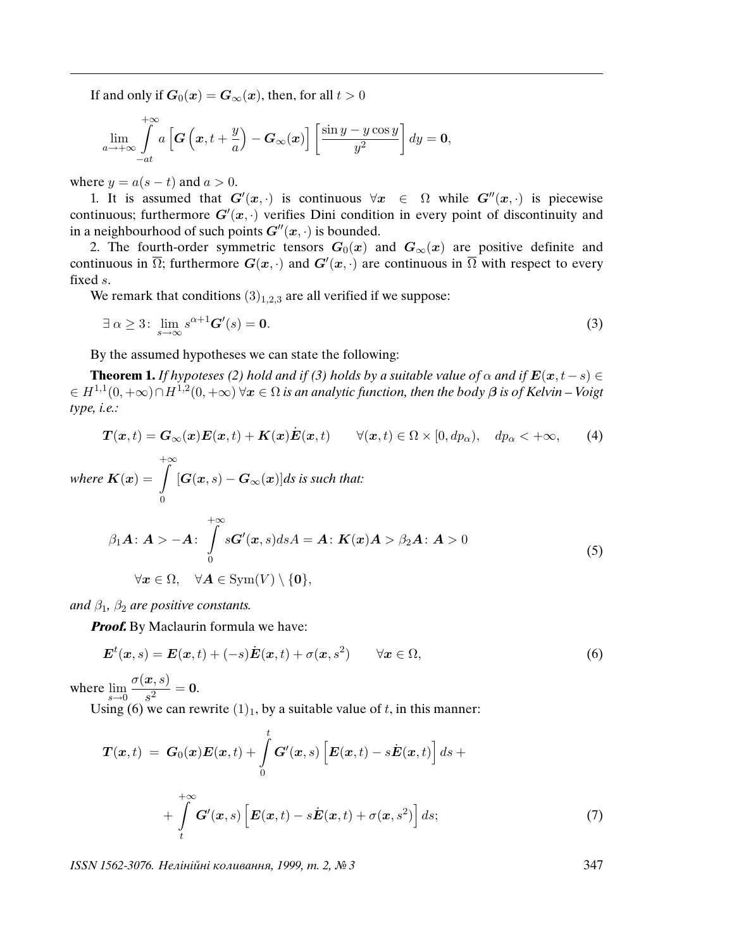If and only if  $G_0(x) = G_{\infty}(x)$ , then, for all  $t > 0$ 

$$
\lim_{a \to +\infty} \int_{-at}^{+\infty} a\left[\boldsymbol{G}\left(\boldsymbol{x}, t+\frac{y}{a}\right) - \boldsymbol{G}_{\infty}(\boldsymbol{x})\right] \left[\frac{\sin y - y \cos y}{y^2}\right] dy = \mathbf{0},
$$

where  $y = a(s - t)$  and  $a > 0$ .

1. It is assumed that  $G'(x, \cdot)$  is continuous  $\forall x \in \Omega$  while  $G''(x, \cdot)$  is piecewise continuous; furthermore  $G'(x, \cdot)$  verifies Dini condition in every point of discontinuity and in a neighbourhood of such points  $G''(x, \cdot)$  is bounded.

2. The fourth-order symmetric tensors  $G_0(x)$  and  $G_{\infty}(x)$  are positive definite and continuous in  $\overline{\Omega}$ ; furthermore  $G(x, \cdot)$  and  $G'(x, \cdot)$  are continuous in  $\overline{\Omega}$  with respect to every fixed s.

We remark that conditions  $(3)_{1,2,3}$  are all verified if we suppose:

$$
\exists \alpha \ge 3: \lim_{s \to \infty} s^{\alpha+1} \mathbf{G}'(s) = \mathbf{0}.\tag{3}
$$

By the assumed hypotheses we can state the following:

**Theorem 1.** If hypoteses (2) hold and if (3) holds by a suitable value of  $\alpha$  and if  $E(x, t - s) \in$  $\epsilon\in H^{1,1}(0,+\infty)\cap H^{1,2}(0,+\infty)$   $\forall x\in\Omega$  is an analytic function, then the body  $\beta$  is of Kelvin – Voigt type, i.e.:

$$
\boldsymbol{T}(\boldsymbol{x},t) = \boldsymbol{G}_{\infty}(\boldsymbol{x})\boldsymbol{E}(\boldsymbol{x},t) + \boldsymbol{K}(\boldsymbol{x})\dot{\boldsymbol{E}}(\boldsymbol{x},t) \qquad \forall (\boldsymbol{x},t) \in \Omega \times [0, dp_{\alpha}), \quad dp_{\alpha} < +\infty,
$$
 (4)

where 
$$
K(x) = \int_{0}^{+\infty} [G(x, s) - G_{\infty}(x)]ds
$$
 is such that:

$$
\beta_1 A : A > -A : \int_{0}^{+\infty} sG'(x, s) ds A = A : K(x)A > \beta_2 A : A > 0
$$
  

$$
\forall x \in \Omega, \quad \forall A \in \text{Sym}(V) \setminus \{0\},
$$
 (5)

and  $\beta_1$ ,  $\beta_2$  are positive constants.

**Proof.** By Maclaurin formula we have:

$$
\boldsymbol{E}^{t}(\boldsymbol{x},s) = \boldsymbol{E}(\boldsymbol{x},t) + (-s)\dot{\boldsymbol{E}}(\boldsymbol{x},t) + \sigma(\boldsymbol{x},s^{2}) \qquad \forall \boldsymbol{x} \in \Omega,
$$
\n
$$
(6)
$$

where  $\lim_{s\to 0}$  $\sigma(\boldsymbol{x},s)$  $\frac{1}{s^2} = 0.$ 

Using (6) we can rewrite  $(1)_1$ , by a suitable value of t, in this manner:

$$
\boldsymbol{T}(\boldsymbol{x},t) = \boldsymbol{G}_0(\boldsymbol{x})\boldsymbol{E}(\boldsymbol{x},t) + \int_0^t \boldsymbol{G}'(\boldsymbol{x},s) \left[ \boldsymbol{E}(\boldsymbol{x},t) - s\dot{\boldsymbol{E}}(\boldsymbol{x},t) \right] ds + \n+ \int_0^{+\infty} \boldsymbol{G}'(\boldsymbol{x},s) \left[ \boldsymbol{E}(\boldsymbol{x},t) - s\dot{\boldsymbol{E}}(\boldsymbol{x},t) + \sigma(\boldsymbol{x},s^2) \right] ds; \tag{7}
$$

ISSN 1562-3076. Нелiнiйнi коливання, 1999, т. 2, № 3 347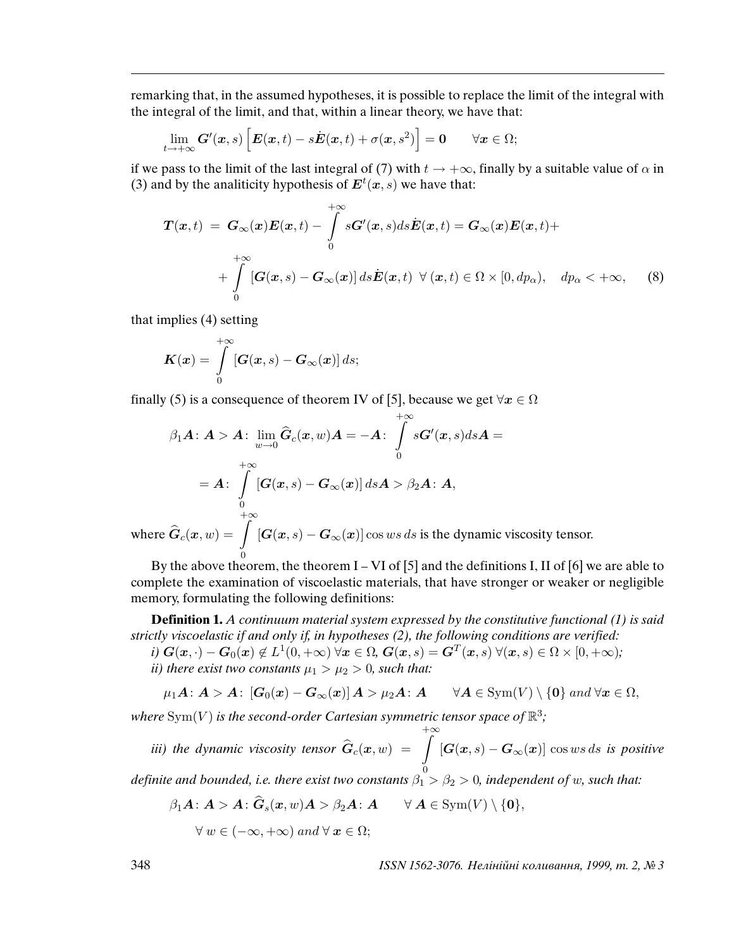remarking that, in the assumed hypotheses, it is possible to replace the limit of the integral with the integral of the limit, and that, within a linear theory, we have that:

$$
\lim_{t\to+\infty} \mathbf{G}'(\mathbf{x},s) \left[ \mathbf{E}(\mathbf{x},t) - s\dot{\mathbf{E}}(\mathbf{x},t) + \sigma(\mathbf{x},s^2) \right] = \mathbf{0} \quad \forall \mathbf{x} \in \Omega;
$$

if we pass to the limit of the last integral of (7) with  $t \to +\infty$ , finally by a suitable value of  $\alpha$  in (3) and by the analiticity hypothesis of  $\mathbf{E}^{t}(x, s)$  we have that:

$$
\mathbf{T}(\boldsymbol{x},t) = \mathbf{G}_{\infty}(\boldsymbol{x})\mathbf{E}(\boldsymbol{x},t) - \int_{0}^{+\infty} s\mathbf{G}'(\boldsymbol{x},s)ds\dot{\mathbf{E}}(\boldsymbol{x},t) = \mathbf{G}_{\infty}(\boldsymbol{x})\mathbf{E}(\boldsymbol{x},t) + \int_{0}^{+\infty} [\mathbf{G}(\boldsymbol{x},s) - \mathbf{G}_{\infty}(\boldsymbol{x})] ds\dot{\mathbf{E}}(\boldsymbol{x},t) \ \forall (\boldsymbol{x},t) \in \Omega \times [0,dp_{\alpha}), \quad dp_{\alpha} < +\infty,
$$
 (8)

that implies (4) setting

$$
\boldsymbol{K}(\boldsymbol{x}) = \int\limits_0^{+\infty} \left[\boldsymbol{G}(\boldsymbol{x},s) - \boldsymbol{G}_{\infty}(\boldsymbol{x})\right] ds;
$$

finally (5) is a consequence of theorem IV of [5], because we get  $\forall x \in \Omega$ 

$$
\beta_1 A : A > A : \lim_{w \to 0} \hat{G}_c(x, w) A = -A : \int_{0}^{+\infty} sG'(x, s) ds A =
$$
  
=  $A : \int_{0}^{+\infty} [G(x, s) - G_{\infty}(x)] ds A > \beta_2 A : A,$ 

where  $\widehat{G}_c(\boldsymbol{x}, w) = \begin{bmatrix} 1 \\ 2 \end{bmatrix}$ 0  $[G(x, s) - G_{\infty}(x)] \cos ws \, ds$  is the dynamic viscosity tensor.

By the above theorem, the theorem  $I - VI$  of  $[5]$  and the definitions I, II of  $[6]$  we are able to complete the examination of viscoelastic materials, that have stronger or weaker or negligible memory, formulating the following definitions:

**Definition 1.** A continuum material system expressed by the constitutive functional (1) is said strictly viscoelastic if and only if, in hypotheses (2), the following conditions are verified:

 $i) \; \bm{G}(\bm{x},\cdot) - \bm{G}_0(\bm{x}) \not \in L^1(0,+\infty) \; \forall \bm{x} \in \Omega, \, \bm{G}(\bm{x},s) = \bm{G}^T(\bm{x},s) \; \forall (\bm{x},s) \in \Omega \times [0,+\infty);$ ii) there exist two constants  $\mu_1 > \mu_2 > 0$ , such that:

$$
\mu_1 A : A > A : [G_0(x) - G_{\infty}(x)] A > \mu_2 A : A \quad \forall A \in \text{Sym}(V) \setminus \{0\} \text{ and } \forall x \in \Omega,
$$

where  $\mathrm{Sym}(V)$  is the second-order Cartesian symmetric tensor space of  $\mathbb{R}^3;$  $+\infty$ 

iii) the dynamic viscosity tensor  $\widehat{\bm{G}}_c(\bm{x}, w)$  =  $\left. \ \ \right\}$ 0  $[G(\boldsymbol{x}, s) - \boldsymbol{G}_{\infty}(\boldsymbol{x})] \cos ws \, ds$  is positive

definite and bounded, i.e. there exist two constants  $\beta_1 > \beta_2 > 0$ , independent of w, such that:

$$
\beta_1 A : A > A : \widehat{G}_s(x, w) A > \beta_2 A : A \quad \forall A \in \text{Sym}(V) \setminus \{0\},
$$

 $\forall w \in (-\infty, +\infty)$  and  $\forall x \in \Omega$ ;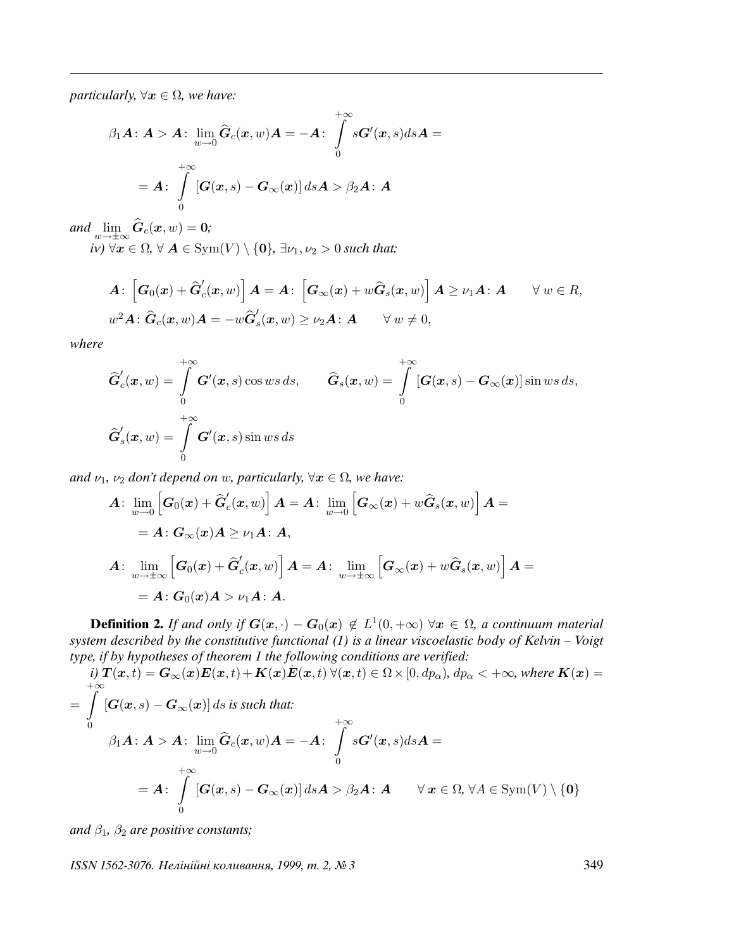*particularly,*  $\forall x \in \Omega$ *, we have:* 

$$
\beta_1 A : A > A : \lim_{w \to 0} \widehat{G}_c(x, w) A = -A : \int_{0}^{+\infty} sG'(x, s) ds A =
$$

$$
= A : \int_{0}^{+\infty} [G(x, s) - G_{\infty}(x)] ds A > \beta_2 A : A
$$

and  $\lim_{w\to\pm\infty} G_c(x,w) = 0;$ 

 $iv) \ \forall x \in \Omega, \forall A \in \text{Sym}(V) \setminus \{0\}, \exists \nu_1, \nu_2 > 0 \text{ such that:}$ 

$$
\begin{aligned}\n\mathbf{A}: \left[\mathbf{G}_0(\mathbf{x}) + \widehat{\mathbf{G}}_c'(\mathbf{x}, w)\right] \mathbf{A} &= \mathbf{A}: \left[\mathbf{G}_{\infty}(\mathbf{x}) + w\widehat{\mathbf{G}}_s(\mathbf{x}, w)\right] \mathbf{A} \ge \nu_1 \mathbf{A}: \mathbf{A} \qquad \forall w \in R, \\
w^2 \mathbf{A}: \widehat{\mathbf{G}}_c(\mathbf{x}, w) \mathbf{A} &= -w\widehat{\mathbf{G}}_s'(\mathbf{x}, w) \ge \nu_2 \mathbf{A}: \mathbf{A} \qquad \forall w \ne 0,\n\end{aligned}
$$

where

$$
\widehat{G}'_c(\mathbf{x}, w) = \int\limits_0^{+\infty} G'(\mathbf{x}, s) \cos ws \, ds, \qquad \widehat{G}_s(\mathbf{x}, w) = \int\limits_0^{+\infty} [G(\mathbf{x}, s) - G_\infty(\mathbf{x})] \sin ws \, ds,
$$

$$
\widehat{G}'_s(\mathbf{x}, w) = \int\limits_0^{+\infty} G'(\mathbf{x}, s) \sin ws \, ds
$$

and  $\nu_1$ ,  $\nu_2$  don't depend on w, particularly,  $\forall x \in \Omega$ , we have:

$$
A: \lim_{w\to 0} \left[ G_0(x) + \widehat{G}'_c(x, w) \right] A = A: \lim_{w\to 0} \left[ G_\infty(x) + w \widehat{G}_s(x, w) \right] A =
$$
  
\n
$$
= A: G_\infty(x) A \ge \nu_1 A: A,
$$
  
\n
$$
A: \lim_{w\to \pm \infty} \left[ G_0(x) + \widehat{G}'_c(x, w) \right] A = A: \lim_{w\to \pm \infty} \left[ G_\infty(x) + w \widehat{G}_s(x, w) \right] A =
$$
  
\n
$$
= A: G_0(x) A > \nu_1 A: A.
$$

**Definition 2.** If and only if  $G(x, \cdot) - G_0(x) \notin L^1(0, +\infty)$   $\forall x \in \Omega$ , a continuum material system described by the constitutive functional  $(1)$  is a linear viscoelastic body of Kelvin – Voigt type, if by hypotheses of theorem 1 the following conditions are verified:

*i)* 
$$
T(x,t) = G_{\infty}(x)E(x,t) + K(x)E(x,t) \forall (x,t) \in \Omega \times [0, dp_{\alpha}), dp_{\alpha} < +\infty
$$
, where  $K(x) =$   
\n
$$
\int_{0}^{+\infty} [G(x,s) - G_{\infty}(x)] ds \text{ is such that:}
$$
\n
$$
\beta_1 A : A > A : \lim_{w \to 0} \hat{G}_c(x,w)A = -A : \int_{0}^{+\infty} sG'(x,s)dsA =
$$
\n
$$
= A : \int_{0}^{+\infty} [G(x,s) - G_{\infty}(x)] dsA > \beta_2 A : A \quad \forall x \in \Omega, \forall A \in \text{Sym}(V) \setminus \{0\}
$$

and  $\beta_1$ ,  $\beta_2$  are positive constants;

ISSN 1562-3076. Нелінійні коливання, 1999, т. 2, № 3 349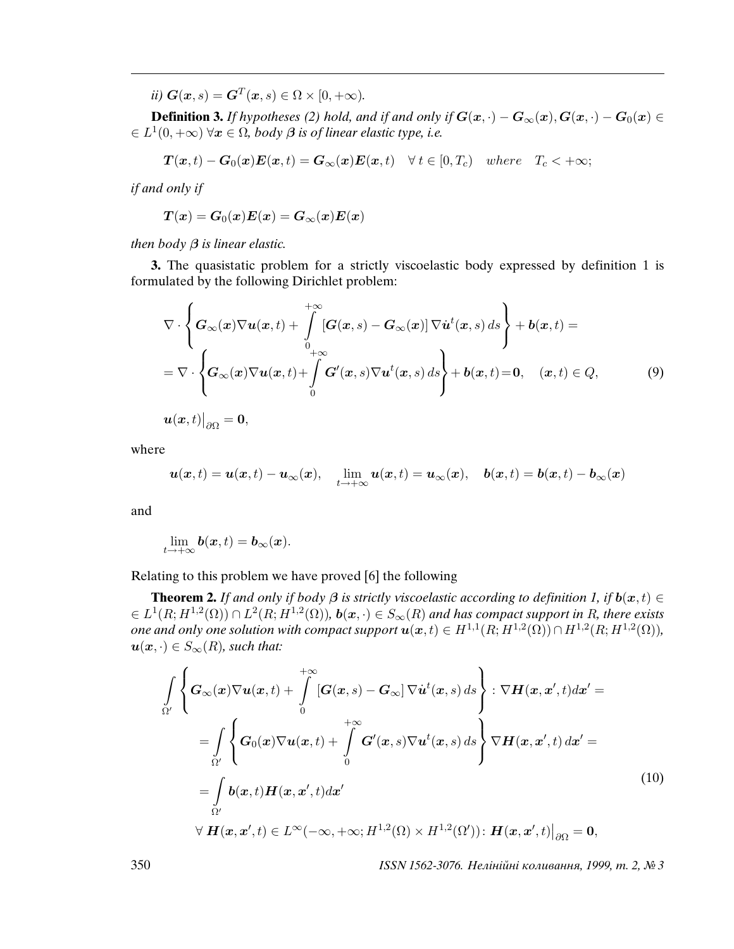ii)  $G(x, s) = G<sup>T</sup>(x, s) \in \Omega \times [0, +\infty)$ .

**Definition 3.** If hypotheses (2) hold, and if and only if  $G(x, \cdot) - G_{\infty}(x)$ ,  $G(x, \cdot) - G_0(x) \in$  $\in L^1(0, +\infty)$   $\forall x \in \Omega$ , body  $\beta$  is of linear elastic type, i.e.

$$
\boldsymbol{T}(\boldsymbol{x},t)-\boldsymbol{G}_0(\boldsymbol{x})\boldsymbol{E}(\boldsymbol{x},t)=\boldsymbol{G}_{\infty}(\boldsymbol{x})\boldsymbol{E}(\boldsymbol{x},t) \quad \forall \ t \in [0,T_c) \quad where \quad T_c < +\infty;
$$

if and only if

$$
\boldsymbol{T}(\boldsymbol{x}) = \boldsymbol{G}_0(\boldsymbol{x})\boldsymbol{E}(\boldsymbol{x}) = \boldsymbol{G}_{\infty}(\boldsymbol{x})\boldsymbol{E}(\boldsymbol{x})
$$

then body  $\beta$  is linear elastic.

**3.** The quasistatic problem for a strictly viscoelastic body expressed by definition 1 is formulated by the following Dirichlet problem:

$$
\nabla \cdot \left\{ G_{\infty}(\boldsymbol{x}) \nabla \boldsymbol{u}(\boldsymbol{x},t) + \int_{0}^{+\infty} [\boldsymbol{G}(\boldsymbol{x},s) - \boldsymbol{G}_{\infty}(\boldsymbol{x})] \nabla \dot{\boldsymbol{u}}^{t}(\boldsymbol{x},s) ds \right\} + \boldsymbol{b}(\boldsymbol{x},t) =
$$
  
= 
$$
\nabla \cdot \left\{ \boldsymbol{G}_{\infty}(\boldsymbol{x}) \nabla \boldsymbol{u}(\boldsymbol{x},t) + \int_{0}^{+\infty} \boldsymbol{G}'(\boldsymbol{x},s) \nabla \boldsymbol{u}^{t}(\boldsymbol{x},s) ds \right\} + \boldsymbol{b}(\boldsymbol{x},t) = 0, \quad (\boldsymbol{x},t) \in Q,
$$
 (9)

 $\boldsymbol{u}(\boldsymbol{x},t)\big|_{\partial\Omega}=\boldsymbol{0},$ 

where

$$
\boldsymbol{u}(\boldsymbol{x},t)=\boldsymbol{u}(\boldsymbol{x},t)-\boldsymbol{u}_{\infty}(\boldsymbol{x}),\quad \lim_{t\to+\infty}\boldsymbol{u}(\boldsymbol{x},t)=\boldsymbol{u}_{\infty}(\boldsymbol{x}),\quad \boldsymbol{b}(\boldsymbol{x},t)=\boldsymbol{b}(\boldsymbol{x},t)-\boldsymbol{b}_{\infty}(\boldsymbol{x})
$$

and

$$
\lim_{t\to+\infty} \mathbf{b}(\mathbf{x},t)=\mathbf{b}_{\infty}(\mathbf{x}).
$$

Relating to this problem we have proved [6] the following

**Theorem 2.** If and only if body  $\beta$  is strictly viscoelastic according to definition 1, if  $b(x, t) \in$  $\mathcal{L} \in L^1(R; H^{1,2}(\Omega)) \cap L^2(R; H^{1,2}(\Omega))$ ,  $\mathbf{b}(\mathbf{x},\cdot) \in S_\infty(R)$  and has compact support in R, there exists one and only one solution with compact support  $u(x,t) \in H^{1,1}(R;H^{1,2}(\Omega)) \cap H^{1,2}(R;H^{1,2}(\Omega)),$  $u(x, \cdot) \in S_{\infty}(R)$ , such that:

$$
\int_{\Omega'} \left\{ G_{\infty}(\boldsymbol{x}) \nabla \boldsymbol{u}(\boldsymbol{x},t) + \int_{0}^{+\infty} [\boldsymbol{G}(\boldsymbol{x},s) - \boldsymbol{G}_{\infty}] \nabla \boldsymbol{u}^{t}(\boldsymbol{x},s) ds \right\} : \nabla \boldsymbol{H}(\boldsymbol{x},\boldsymbol{x}',t) d\boldsymbol{x}' =
$$
\n
$$
= \int_{\Omega'} \left\{ G_{0}(\boldsymbol{x}) \nabla \boldsymbol{u}(\boldsymbol{x},t) + \int_{0}^{+\infty} \boldsymbol{G}'(\boldsymbol{x},s) \nabla \boldsymbol{u}^{t}(\boldsymbol{x},s) ds \right\} \nabla \boldsymbol{H}(\boldsymbol{x},\boldsymbol{x}',t) d\boldsymbol{x}' =
$$
\n
$$
= \int_{\Omega'} \boldsymbol{b}(\boldsymbol{x},t) \boldsymbol{H}(\boldsymbol{x},\boldsymbol{x}',t) d\boldsymbol{x}'
$$
\n
$$
\forall \boldsymbol{H}(\boldsymbol{x},\boldsymbol{x}',t) \in L^{\infty}(-\infty, +\infty; H^{1,2}(\Omega) \times H^{1,2}(\Omega')) : \boldsymbol{H}(\boldsymbol{x},\boldsymbol{x}',t) \big|_{\partial\Omega} = \mathbf{0},
$$
\n(10)

350 ISSN 1562-3076. Нелiнiйнi коливання, 1999, т. 2, № 3